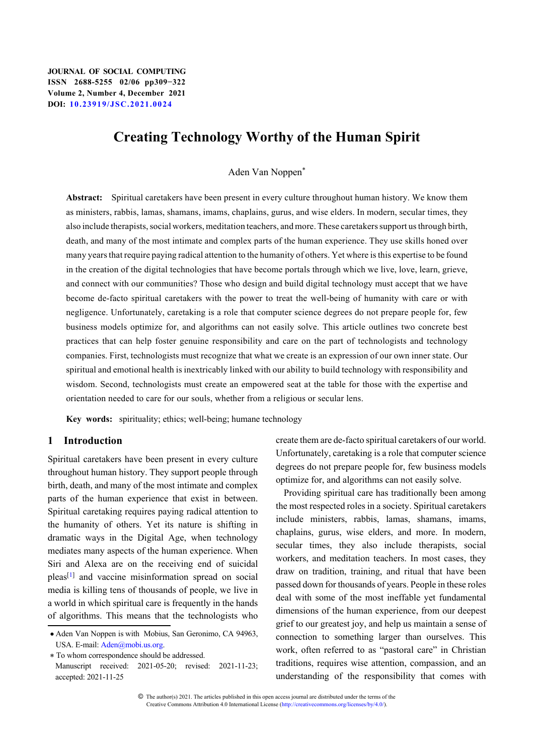# **Creating Technology Worthy of the Human Spirit**

Aden Van Noppen\*

**Abstract:** Spiritual caretakers have been present in every culture throughout human history. We know them as ministers, rabbis, lamas, shamans, imams, chaplains, gurus, and wise elders. In modern, secular times, they also include therapists, social workers, meditation teachers, and more. These caretakers support us through birth, death, and many of the most intimate and complex parts of the human experience. They use skills honed over many years that require paying radical attention to the humanity of others. Yet where is this expertise to be found in the creation of the digital technologies that have become portals through which we live, love, learn, grieve, and connect with our communities? Those who design and build digital technology must accept that we have become de-facto spiritual caretakers with the power to treat the well-being of humanity with care or with negligence. Unfortunately, caretaking is a role that computer science degrees do not prepare people for, few business models optimize for, and algorithms can not easily solve. This article outlines two concrete best practices that can help foster genuine responsibility and care on the part of technologists and technology companies. First, technologists must recognize that what we create is an expression of our own inner state. Our spiritual and emotional health is inextricably linked with our ability to build technology with responsibility and wisdom. Second, technologists must create an empowered seat at the table for those with the expertise and orientation needed to care for our souls, whether from a religious or secular lens.

**Key words:** spirituality; ethics; well-being; humane technology

# **1 Introduction**

Spiritual caretakers have been present in every culture throughout human history. They support people through birth, death, and many of the most intimate and complex parts of the human experience that exist in between. Spiritual caretaking requires paying radical attention to the humanity of others. Yet its nature is shifting in dramatic ways in the Digital Age, when technology mediates many aspects of the human experience. When Siri and Alexa are on the receiving end of suicidal pleas[\[1\]](#page-12-0) and vaccine misinformation spread on social media is killing tens of thousands of people, we live in a world in which spiritual care is frequently in the hands of algorithms. This means that the technologists who create them are de-facto spiritual caretakers of our world. Unfortunately, caretaking is a role that computer science degrees do not prepare people for, few business models optimize for, and algorithms can not easily solve.

Providing spiritual care has traditionally been among the most respected roles in a society. Spiritual caretakers include ministers, rabbis, lamas, shamans, imams, chaplains, gurus, wise elders, and more. In modern, secular times, they also include therapists, social workers, and meditation teachers. In most cases, they draw on tradition, training, and ritual that have been passed down for thousands of years. People in these roles deal with some of the most ineffable yet fundamental dimensions of the human experience, from our deepest grief to our greatest joy, and help us maintain a sense of connection to something larger than ourselves. This work, often referred to as "pastoral care" in Christian traditions, requires wise attention, compassion, and an understanding of the responsibility that comes with

 <sup>•</sup> Aden Van Noppen is with Mobius, San Geronimo, CA 94963, USA. E-mail: [Aden@mobi.us.org](mailto:Aden@mobi.us.org).

 <sup>\*</sup> To whom correspondence should be addressed. Manuscript received: 2021-05-20; revised: 2021-11-23; accepted: 2021-11-25

<sup>©</sup> The author(s) 2021. The articles published in this open access journal are distributed under the terms of the Creative Commons Attribution 4.0 International License [\(http://creativecommons.org/licenses/by/4.0/](http://creativecommons.org/licenses/by/4.0/)).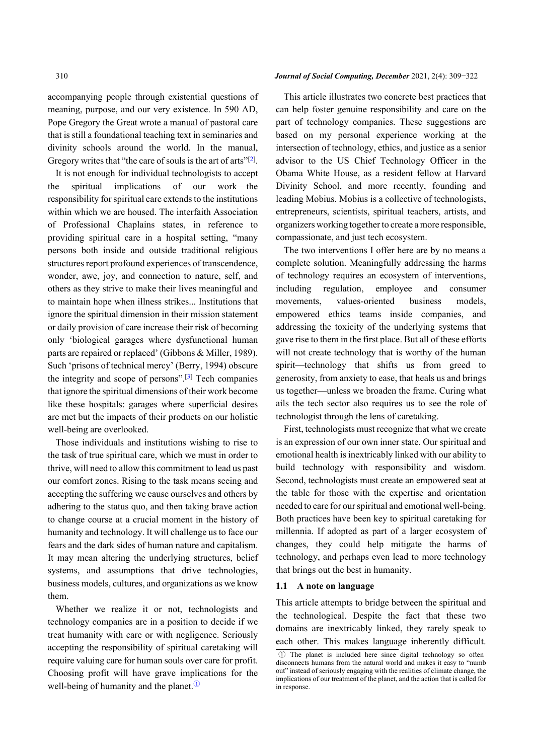accompanying people through existential questions of meaning, purpose, and our very existence. In 590 AD, Pope Gregory the Great wrote a manual of pastoral care that is still a foundational teaching text in seminaries and divinity schools around the world. In the manual, Gregory writes that "the care of souls is the art of arts"<sup>[[2\]](#page-12-1)</sup>.

It is not enough for individual technologists to accept the spiritual implications of our work—the responsibility for spiritual care extends to the institutions within which we are housed. The interfaith Association of Professional Chaplains states, in reference to providing spiritual care in a hospital setting, "many persons both inside and outside traditional religious structures report profound experiences of transcendence, wonder, awe, joy, and connection to nature, self, and others as they strive to make their lives meaningful and to maintain hope when illness strikes... Institutions that ignore the spiritual dimension in their mission statement or daily provision of care increase their risk of becoming only 'biological garages where dysfunctional human parts are repaired or replaced' (Gibbons & Miller, 1989). Such 'prisons of technical mercy' (Berry, 1994) obscure the integrity and scope of persons".<sup>[[3](#page-12-2)]</sup> Tech companies that ignore the spiritual dimensions of their work become like these hospitals: garages where superficial desires are met but the impacts of their products on our holistic well-being are overlooked.

Those individuals and institutions wishing to rise to the task of true spiritual care, which we must in order to thrive, will need to allow this commitment to lead us past our comfort zones. Rising to the task means seeing and accepting the suffering we cause ourselves and others by adhering to the status quo, and then taking brave action to change course at a crucial moment in the history of humanity and technology. It will challenge us to face our fears and the dark sides of human nature and capitalism. It may mean altering the underlying structures, belief systems, and assumptions that drive technologies, business models, cultures, and organizations as we know them.

Whether we realize it or not, technologists and technology companies are in a position to decide if we treat humanity with care or with negligence. Seriously accepting the responsibility of spiritual caretaking will require valuing care for human souls over care for profit. Choosing profit will have grave implications for the well-being of humanity and the planet.①

#### 310 *Journal of Social Computing, December* 2021, 2(4): 309−322

This article illustrates two concrete best practices that can help foster genuine responsibility and care on the part of technology companies. These suggestions are based on my personal experience working at the intersection of technology, ethics, and justice as a senior advisor to the US Chief Technology Officer in the Obama White House, as a resident fellow at Harvard Divinity School, and more recently, founding and leading Mobius. Mobius is a collective of technologists, entrepreneurs, scientists, spiritual teachers, artists, and organizers working together to create a more responsible, compassionate, and just tech ecosystem.

The two interventions I offer here are by no means a complete solution. Meaningfully addressing the harms of technology requires an ecosystem of interventions, including regulation, employee and consumer movements, values-oriented business models, empowered ethics teams inside companies, and addressing the toxicity of the underlying systems that gave rise to them in the first place. But all of these efforts will not create technology that is worthy of the human spirit—technology that shifts us from greed to generosity, from anxiety to ease, that heals us and brings us together—unless we broaden the frame. Curing what ails the tech sector also requires us to see the role of technologist through the lens of caretaking.

First, technologists must recognize that what we create is an expression of our own inner state. Our spiritual and emotional health is inextricably linked with our ability to build technology with responsibility and wisdom. Second, technologists must create an empowered seat at the table for those with the expertise and orientation needed to care for our spiritual and emotional well-being. Both practices have been key to spiritual caretaking for millennia. If adopted as part of a larger ecosystem of changes, they could help mitigate the harms of technology, and perhaps even lead to more technology that brings out the best in humanity.

#### **1.1 A note on language**

This article attempts to bridge between the spiritual and the technological. Despite the fact that these two domains are inextricably linked, they rarely speak to each other. This makes language inherently difficult.

① The planet is included here since digital technology so often disconnects humans from the natural world and makes it easy to "numb out" instead of seriously engaging with the realities of climate change, the implications of our treatment of the planet, and the action that is called for in response.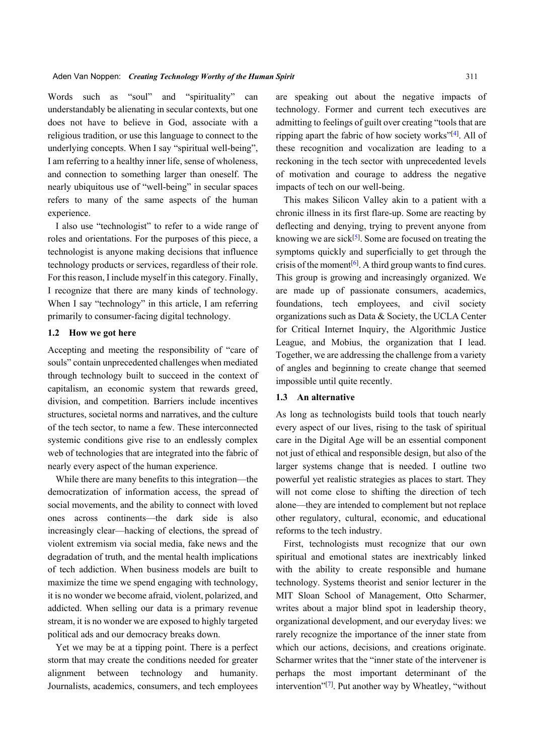Words such as "soul" and "spirituality" can understandably be alienating in secular contexts, but one does not have to believe in God, associate with a religious tradition, or use this language to connect to the underlying concepts. When I say "spiritual well-being", I am referring to a healthy inner life, sense of wholeness, and connection to something larger than oneself. The nearly ubiquitous use of "well-being" in secular spaces refers to many of the same aspects of the human experience.

I also use "technologist" to refer to a wide range of roles and orientations. For the purposes of this piece, a technologist is anyone making decisions that influence technology products or services, regardless of their role. For this reason, I include myself in this category. Finally, I recognize that there are many kinds of technology. When I say "technology" in this article, I am referring primarily to consumer-facing digital technology.

# **1.2 How we got here**

Accepting and meeting the responsibility of "care of souls" contain unprecedented challenges when mediated through technology built to succeed in the context of capitalism, an economic system that rewards greed, division, and competition. Barriers include incentives structures, societal norms and narratives, and the culture of the tech sector, to name a few. These interconnected systemic conditions give rise to an endlessly complex web of technologies that are integrated into the fabric of nearly every aspect of the human experience.

While there are many benefits to this integration—the democratization of information access, the spread of social movements, and the ability to connect with loved ones across continents—the dark side is also increasingly clear—hacking of elections, the spread of violent extremism via social media, fake news and the degradation of truth, and the mental health implications of tech addiction. When business models are built to maximize the time we spend engaging with technology, it is no wonder we become afraid, violent, polarized, and addicted. When selling our data is a primary revenue stream, it is no wonder we are exposed to highly targeted political ads and our democracy breaks down.

Yet we may be at a tipping point. There is a perfect storm that may create the conditions needed for greater alignment between technology and humanity. Journalists, academics, consumers, and tech employees

are speaking out about the negative impacts of technology. Former and current tech executives are admitting to feelings of guilt over creating "tools that are ripping apart the fabric of how society works" [\[4](#page-12-3)] . All of these recognition and vocalization are leading to a reckoning in the tech sector with unprecedented levels of motivation and courage to address the negative impacts of tech on our well-being.

This makes Silicon Valley akin to a patient with a chronic illness in its first flare-up. Some are reacting by deflecting and denying, trying to prevent anyone from knowing we are sick $[5]$  $[5]$ . Some are focused on treating the symptoms quickly and superficially to get through the crisis of the moment<sup>[[6\]](#page-12-5)</sup>. A third group wants to find cures. This group is growing and increasingly organized. We are made up of passionate consumers, academics, foundations, tech employees, and civil society organizations such as Data & Society, the UCLA Center for Critical Internet Inquiry, the Algorithmic Justice League, and Mobius, the organization that I lead. Together, we are addressing the challenge from a variety of angles and beginning to create change that seemed impossible until quite recently.

# **1.3 An alternative**

As long as technologists build tools that touch nearly every aspect of our lives, rising to the task of spiritual care in the Digital Age will be an essential component not just of ethical and responsible design, but also of the larger systems change that is needed. I outline two powerful yet realistic strategies as places to start. They will not come close to shifting the direction of tech alone—they are intended to complement but not replace other regulatory, cultural, economic, and educational reforms to the tech industry.

First, technologists must recognize that our own spiritual and emotional states are inextricably linked with the ability to create responsible and humane technology. Systems theorist and senior lecturer in the MIT Sloan School of Management, Otto Scharmer, writes about a major blind spot in leadership theory, organizational development, and our everyday lives: we rarely recognize the importance of the inner state from which our actions, decisions, and creations originate. Scharmer writes that the "inner state of the intervener is perhaps the most important determinant of the intervention"<sup>[\[7](#page-12-6)]</sup>. Put another way by Wheatley, "without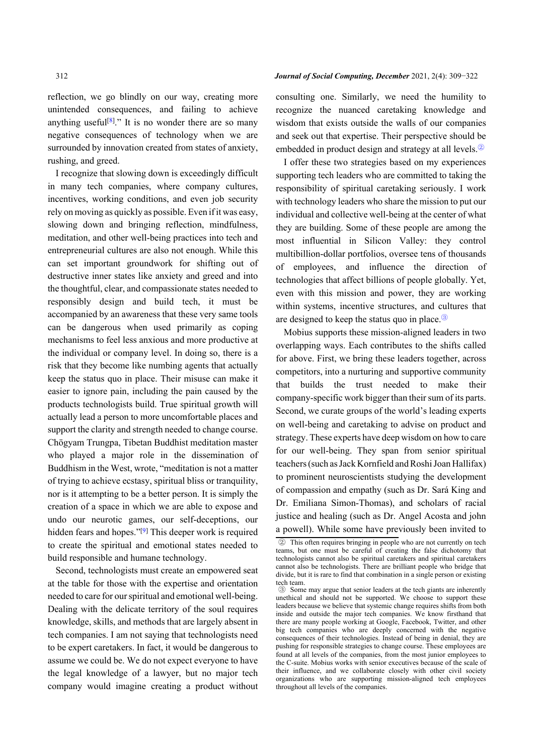reflection, we go blindly on our way, creating more unintended consequences, and failing to achieve anything useful<sup>[[8\]](#page-12-7)</sup>." It is no wonder there are so many negative consequences of technology when we are surrounded by innovation created from states of anxiety, rushing, and greed.

I recognize that slowing down is exceedingly difficult in many tech companies, where company cultures, incentives, working conditions, and even job security rely on moving as quickly as possible. Even if it was easy, slowing down and bringing reflection, mindfulness, meditation, and other well-being practices into tech and entrepreneurial cultures are also not enough. While this can set important groundwork for shifting out of destructive inner states like anxiety and greed and into the thoughtful, clear, and compassionate states needed to responsibly design and build tech, it must be accompanied by an awareness that these very same tools can be dangerous when used primarily as coping mechanisms to feel less anxious and more productive at the individual or company level. In doing so, there is a risk that they become like numbing agents that actually keep the status quo in place. Their misuse can make it easier to ignore pain, including the pain caused by the products technologists build. True spiritual growth will actually lead a person to more uncomfortable places and support the clarity and strength needed to change course. Chögyam Trungpa, Tibetan Buddhist meditation master who played a major role in the dissemination of Buddhism in the West, wrote, "meditation is not a matter of trying to achieve ecstasy, spiritual bliss or tranquility, nor is it attempting to be a better person. It is simply the creation of a space in which we are able to expose and undo our neurotic games, our self-deceptions, our hidden fears and hopes."<sup>[[9\]](#page-12-8)</sup> This deeper work is required to create the spiritual and emotional states needed to build responsible and humane technology.

Second, technologists must create an empowered seat at the table for those with the expertise and orientation needed to care for our spiritual and emotional well-being. Dealing with the delicate territory of the soul requires knowledge, skills, and methods that are largely absent in tech companies. I am not saying that technologists need to be expert caretakers. In fact, it would be dangerous to assume we could be. We do not expect everyone to have the legal knowledge of a lawyer, but no major tech company would imagine creating a product without consulting one. Similarly, we need the humility to recognize the nuanced caretaking knowledge and wisdom that exists outside the walls of our companies and seek out that expertise. Their perspective should be embedded in product design and strategy at all levels.②

I offer these two strategies based on my experiences supporting tech leaders who are committed to taking the responsibility of spiritual caretaking seriously. I work with technology leaders who share the mission to put our individual and collective well-being at the center of what they are building. Some of these people are among the most influential in Silicon Valley: they control multibillion-dollar portfolios, oversee tens of thousands of employees, and influence the direction of technologies that affect billions of people globally. Yet, even with this mission and power, they are working within systems, incentive structures, and cultures that are designed to keep the status quo in place.③

Mobius supports these mission-aligned leaders in two overlapping ways. Each contributes to the shifts called for above. First, we bring these leaders together, across competitors, into a nurturing and supportive community that builds the trust needed to make their company-specific work bigger than their sum of its parts. Second, we curate groups of the world's leading experts on well-being and caretaking to advise on product and strategy. These experts have deep wisdom on how to care for our well-being. They span from senior spiritual teachers (such as Jack Kornfield and Roshi Joan Hallifax) to prominent neuroscientists studying the development of compassion and empathy (such as Dr. Sará King and Dr. Emiliana Simon-Thomas), and scholars of racial justice and healing (such as Dr. Angel Acosta and john a powell). While some have previously been invited to

## 312 *Journal of Social Computing, December* 2021, 2(4): 309−322

② This often requires bringing in people who are not currently on tech teams, but one must be careful of creating the false dichotomy that technologists cannot also be spiritual caretakers and spiritual caretakers cannot also be technologists. There are brilliant people who bridge that divide, but it is rare to find that combination in a single person or existing tech team.

③ Some may argue that senior leaders at the tech giants are inherently unethical and should not be supported. We choose to support these leaders because we believe that systemic change requires shifts from both inside and outside the major tech companies. We know firsthand that there are many people working at Google, Facebook, Twitter, and other big tech companies who are deeply concerned with the negative consequences of their technologies. Instead of being in denial, they are pushing for responsible strategies to change course. These employees are found at all levels of the companies, from the most junior employees to the C-suite. Mobius works with senior executives because of the scale of their influence, and we collaborate closely with other civil society organizations who are supporting mission-aligned tech employees throughout all levels of the companies.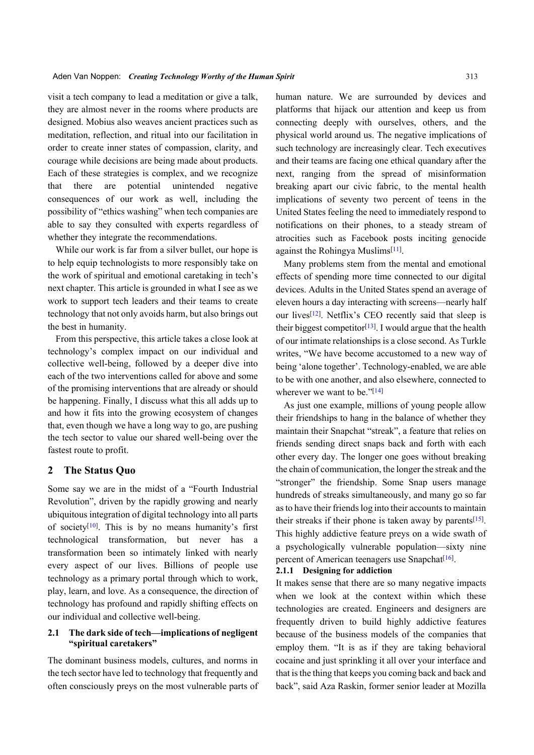visit a tech company to lead a meditation or give a talk, they are almost never in the rooms where products are designed. Mobius also weaves ancient practices such as meditation, reflection, and ritual into our facilitation in order to create inner states of compassion, clarity, and courage while decisions are being made about products. Each of these strategies is complex, and we recognize that there are potential unintended negative consequences of our work as well, including the possibility of "ethics washing" when tech companies are able to say they consulted with experts regardless of whether they integrate the recommendations.

While our work is far from a silver bullet, our hope is to help equip technologists to more responsibly take on the work of spiritual and emotional caretaking in tech's next chapter. This article is grounded in what I see as we work to support tech leaders and their teams to create technology that not only avoids harm, but also brings out the best in humanity.

From this perspective, this article takes a close look at technology's complex impact on our individual and collective well-being, followed by a deeper dive into each of the two interventions called for above and some of the promising interventions that are already or should be happening. Finally, I discuss what this all adds up to and how it fits into the growing ecosystem of changes that, even though we have a long way to go, are pushing the tech sector to value our shared well-being over the fastest route to profit.

## **2 The Status Quo**

Some say we are in the midst of a "Fourth Industrial Revolution", driven by the rapidly growing and nearly ubiquitous integration of digital technology into all parts of society<sup>[[10\]](#page-13-0)</sup>. This is by no means humanity's first technological transformation, but never has a transformation been so intimately linked with nearly every aspect of our lives. Billions of people use technology as a primary portal through which to work, play, learn, and love. As a consequence, the direction of technology has profound and rapidly shifting effects on our individual and collective well-being.

# **2.1 The dark side of tech—implications of negligent "spiritual caretakers"**

The dominant business models, cultures, and norms in the tech sector have led to technology that frequently and often consciously preys on the most vulnerable parts of human nature. We are surrounded by devices and platforms that hijack our attention and keep us from connecting deeply with ourselves, others, and the physical world around us. The negative implications of such technology are increasingly clear. Tech executives and their teams are facing one ethical quandary after the next, ranging from the spread of misinformation breaking apart our civic fabric, to the mental health implications of seventy two percent of teens in the United States feeling the need to immediately respond to notifications on their phones, to a steady stream of atrocities such as Facebook posts inciting genocide against the Rohingya Muslims<sup>[[11](#page-13-1)]</sup>.

Many problems stem from the mental and emotional effects of spending more time connected to our digital devices. Adults in the United States spend an average of eleven hours a day interacting with screens—nearly half our lives<sup>[[12](#page-13-2)]</sup>. Netflix's CEO recently said that sleep is their biggest competitor<sup>[\[13\]](#page-13-3)</sup>. I would argue that the health of our intimate relationships is a close second. As Turkle writes, "We have become accustomed to a new way of being 'alone together'. Technology-enabled, we are able to be with one another, and also elsewhere, connected to wherever we want to be."[[14\]](#page-13-4)

As just one example, millions of young people allow their friendships to hang in the balance of whether they maintain their Snapchat "streak", a feature that relies on friends sending direct snaps back and forth with each other every day. The longer one goes without breaking the chain of communication, the longer the streak and the "stronger" the friendship. Some Snap users manage hundreds of streaks simultaneously, and many go so far as to have their friends log into their accounts to maintain their streaks if their phone is taken away by parents $[15]$  $[15]$ . This highly addictive feature preys on a wide swath of a psychologically vulnerable population—sixty nine percent of American teenagers use Snapchat<sup>[\[16\]](#page-13-6)</sup>.

#### **2.1.1 Designing for addiction**

It makes sense that there are so many negative impacts when we look at the context within which these technologies are created. Engineers and designers are frequently driven to build highly addictive features because of the business models of the companies that employ them. "It is as if they are taking behavioral cocaine and just sprinkling it all over your interface and that is the thing that keeps you coming back and back and back", said Aza Raskin, former senior leader at Mozilla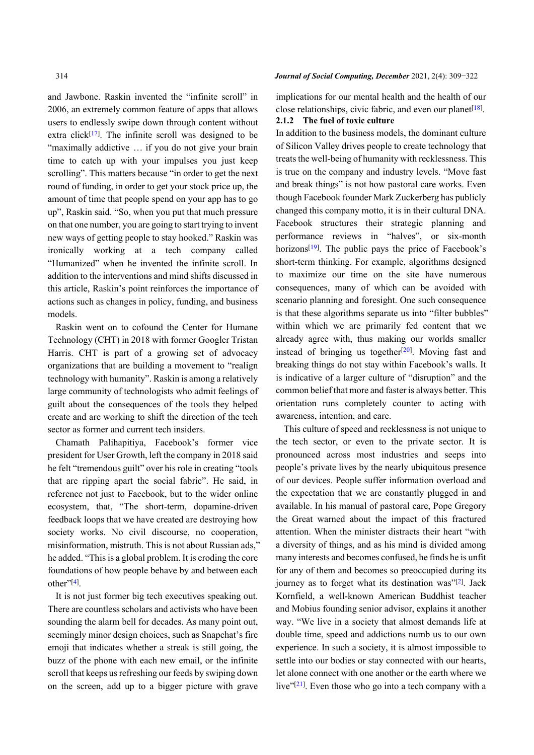and Jawbone. Raskin invented the "infinite scroll" in 2006, an extremely common feature of apps that allows users to endlessly swipe down through content without extra click<sup>[[17\]](#page-13-7)</sup>. The infinite scroll was designed to be "maximally addictive … if you do not give your brain time to catch up with your impulses you just keep scrolling". This matters because "in order to get the next round of funding, in order to get your stock price up, the amount of time that people spend on your app has to go up", Raskin said. "So, when you put that much pressure on that one number, you are going to start trying to invent new ways of getting people to stay hooked." Raskin was ironically working at a tech company called "Humanized" when he invented the infinite scroll. In addition to the interventions and mind shifts discussed in this article, Raskin's point reinforces the importance of actions such as changes in policy, funding, and business models.

Raskin went on to cofound the Center for Humane Technology (CHT) in 2018 with former Googler Tristan Harris. CHT is part of a growing set of advocacy organizations that are building a movement to "realign technology with humanity". Raskin is among a relatively large community of technologists who admit feelings of guilt about the consequences of the tools they helped create and are working to shift the direction of the tech sector as former and current tech insiders.

Chamath Palihapitiya, Facebook's former vice president for User Growth, left the company in 2018 said he felt "tremendous guilt" over his role in creating "tools that are ripping apart the social fabric". He said, in reference not just to Facebook, but to the wider online ecosystem, that, "The short-term, dopamine-driven feedback loops that we have created are destroying how society works. No civil discourse, no cooperation, misinformation, mistruth. This is not about Russian ads," he added. "This is a global problem. It is eroding the core foundations of how people behave by and between each other"<sup>[[4\]](#page-12-3)</sup>.

It is not just former big tech executives speaking out. There are countless scholars and activists who have been sounding the alarm bell for decades. As many point out, seemingly minor design choices, such as Snapchat's fire emoji that indicates whether a streak is still going, the buzz of the phone with each new email, or the infinite scroll that keeps us refreshing our feeds by swiping down on the screen, add up to a bigger picture with grave

#### 314 *Journal of Social Computing, December* 2021, 2(4): 309−322

implications for our mental health and the health of our close relationships, civic fabric, and even our planet $[18]$ . **2.1.2 The fuel of toxic culture**

In addition to the business models, the dominant culture of Silicon Valley drives people to create technology that treats the well-being of humanity with recklessness. This is true on the company and industry levels. "Move fast and break things" is not how pastoral care works. Even though Facebook founder Mark Zuckerberg has publicly changed this company motto, it is in their cultural DNA. Facebook structures their strategic planning and performance reviews in "halves", or six-month horizons<sup>[\[19\]](#page-13-9)</sup>. The public pays the price of Facebook's short-term thinking. For example, algorithms designed to maximize our time on the site have numerous consequences, many of which can be avoided with scenario planning and foresight. One such consequence is that these algorithms separate us into "filter bubbles" within which we are primarily fed content that we already agree with, thus making our worlds smaller instead of bringing us together $[20]$  $[20]$  $[20]$ . Moving fast and breaking things do not stay within Facebook's walls. It is indicative of a larger culture of "disruption" and the common belief that more and faster is always better. This orientation runs completely counter to acting with awareness, intention, and care.

This culture of speed and recklessness is not unique to the tech sector, or even to the private sector. It is pronounced across most industries and seeps into people's private lives by the nearly ubiquitous presence of our devices. People suffer information overload and the expectation that we are constantly plugged in and available. In his manual of pastoral care, Pope Gregory the Great warned about the impact of this fractured attention. When the minister distracts their heart "with a diversity of things, and as his mind is divided among many interests and becomes confused, he finds he is unfit for any of them and becomes so preoccupied during its journey as to forget what its destination was"[[2](#page-12-1)]. Jack Kornfield, a well-known American Buddhist teacher and Mobius founding senior advisor, explains it another way. "We live in a society that almost demands life at double time, speed and addictions numb us to our own experience. In such a society, it is almost impossible to settle into our bodies or stay connected with our hearts, let alone connect with one another or the earth where we live"<sup>[\[21\]](#page-13-11)</sup>. Even those who go into a tech company with a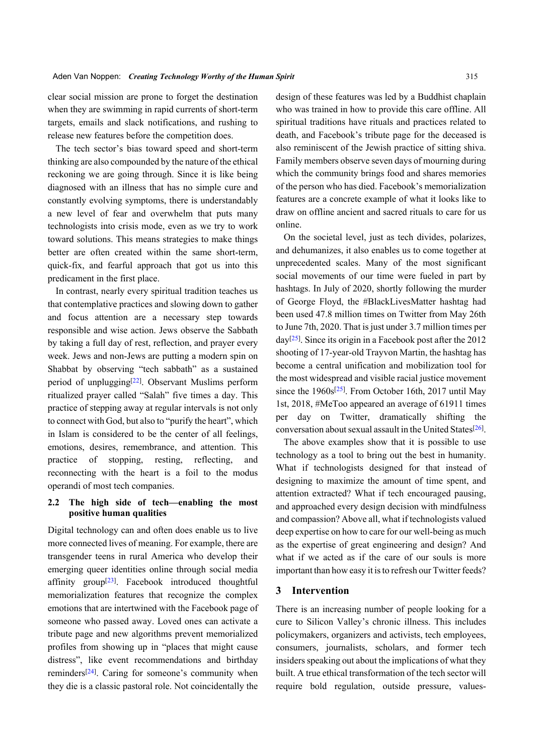clear social mission are prone to forget the destination when they are swimming in rapid currents of short-term targets, emails and slack notifications, and rushing to release new features before the competition does.

The tech sector's bias toward speed and short-term thinking are also compounded by the nature of the ethical reckoning we are going through. Since it is like being diagnosed with an illness that has no simple cure and constantly evolving symptoms, there is understandably a new level of fear and overwhelm that puts many technologists into crisis mode, even as we try to work toward solutions. This means strategies to make things better are often created within the same short-term, quick-fix, and fearful approach that got us into this predicament in the first place.

In contrast, nearly every spiritual tradition teaches us that contemplative practices and slowing down to gather and focus attention are a necessary step towards responsible and wise action. Jews observe the Sabbath by taking a full day of rest, reflection, and prayer every week. Jews and non-Jews are putting a modern spin on Shabbat by observing "tech sabbath" as a sustained period of unplugging<sup>[\[22](#page-13-12)]</sup>. Observant Muslims perform ritualized prayer called "Salah" five times a day. This practice of stepping away at regular intervals is not only to connect with God, but also to "purify the heart", which in Islam is considered to be the center of all feelings, emotions, desires, remembrance, and attention. This practice of stopping, resting, reflecting, and reconnecting with the heart is a foil to the modus operandi of most tech companies.

# **2.2 The high side of tech—enabling the most positive human qualities**

Digital technology can and often does enable us to live more connected lives of meaning. For example, there are transgender teens in rural America who develop their emerging quee[r i](#page-13-13)dentities online through social media affinity group<sup>[[23](#page-13-13)]</sup>. Facebook introduced thoughtful memorialization features that recognize the complex emotions that are intertwined with the Facebook page of someone who passed away. Loved ones can activate a tribute page and new algorithms prevent memorialized profiles from showing up in "places that might cause distress", [lik](#page-13-14)e event recommendations and birthday reminders<sup>[[24\]](#page-13-14)</sup>. Caring for someone's community when they die is a classic pastoral role. Not coincidentally the

design of these features was led by a Buddhist chaplain who was trained in how to provide this care offline. All spiritual traditions have rituals and practices related to death, and Facebook's tribute page for the deceased is also reminiscent of the Jewish practice of sitting shiva. Family members observe seven days of mourning during which the community brings food and shares memories of the person who has died. Facebook's memorialization features are a concrete example of what it looks like to draw on offline ancient and sacred rituals to care for us online.

On the societal level, just as tech divides, polarizes, and dehumanizes, it also enables us to come together at unprecedented scales. Many of the most significant social movements of our time were fueled in part by hashtags. In July of 2020, shortly following the murder of George Floyd, the #BlackLivesMatter hashtag had been used 47.8 million times on Twitter from May 26th to June 7th, 2020. That is just under 3.7 million times per  $day^{[25]}$  $day^{[25]}$  $day^{[25]}$ . Since its origin in a Facebook post after the 2012 shooting of 17-year-old Trayvon Martin, the hashtag has become a central unification and mobilization tool for the most widespread and visible racial justice movement since the 1960s<sup>[\[25\]](#page-13-15)</sup>. From October 16th, 2017 until May 1st, 2018, #MeToo appeared an average of 61911 times per day on Twitter, dramatically shifting the conversation about sexual assault in the United States<sup>[[26\]](#page-13-16)</sup>.

The above examples show that it is possible to use technology as a tool to bring out the best in humanity. What if technologists designed for that instead of designing to maximize the amount of time spent, and attention extracted? What if tech encouraged pausing, and approached every design decision with mindfulness and compassion? Above all, what if technologists valued deep expertise on how to care for our well-being as much as the expertise of great engineering and design? And what if we acted as if the care of our souls is more important than how easy it is to refresh our Twitter feeds?

## **3 Intervention**

There is an increasing number of people looking for a cure to Silicon Valley's chronic illness. This includes policymakers, organizers and activists, tech employees, consumers, journalists, scholars, and former tech insiders speaking out about the implications of what they built. A true ethical transformation of the tech sector will require bold regulation, outside pressure, values-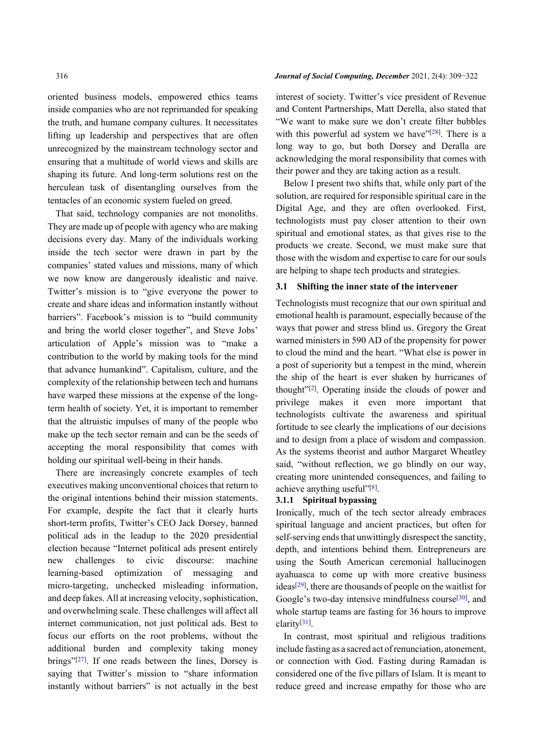oriented business models, empowered ethics teams inside companies who are not reprimanded for speaking the truth, and humane company cultures. It necessitates lifting up leadership and perspectives that are often unrecognized by the mainstream technology sector and ensuring that a multitude of world views and skills are shaping its future. And long-term solutions rest on the herculean task of disentangling ourselves from the tentacles of an economic system fueled on greed.

That said, technology companies are not monoliths. They are made up of people with agency who are making decisions every day. Many of the individuals working inside the tech sector were drawn in part by the companies' stated values and missions, many of which we now know are dangerously idealistic and naive. Twitter's mission is to "give everyone the power to create and share ideas and information instantly without barriers". Facebook's mission is to "build community and bring the world closer together", and Steve Jobs' articulation of Apple's mission was to "make a contribution to the world by making tools for the mind that advance humankind". Capitalism, culture, and the complexity of the relationship between tech and humans have warped these missions at the expense of the longterm health of society. Yet, it is important to remember that the altruistic impulses of many of the people who make up the tech sector remain and can be the seeds of accepting the moral responsibility that comes with holding our spiritual well-being in their hands.

There are increasingly concrete examples of tech executives making unconventional choices that return to the original intentions behind their mission statements. For example, despite the fact that it clearly hurts short-term profits, Twitter's CEO Jack Dorsey, banned political ads in the leadup to the 2020 presidential election because "Internet political ads present entirely new challenges to civic discourse: machine learning-based optimization of messaging and micro-targeting, unchecked misleading information, and deep fakes. All at increasing velocity, sophistication, and overwhelming scale. These challenges will affect all internet communication, not just political ads. Best to focus our efforts on the root problems, without the additio[nal](#page-13-17) burden and complexity taking money brings" [[27\]](#page-13-17) . If one reads between the lines, Dorsey is saying that Twitter's mission to "share information instantly without barriers" is not actually in the best

#### 316 *Journal of Social Computing, December* 2021, 2(4): 309−322

interest of society. Twitter's vice president of Revenue and Content Partnerships, Matt Derella, also stated that "We want to make sure we don't create filter bubbles with this powerful ad system we have  $[28]$  $[28]$ . There is a long way to go, but both Dorsey and Deralla are acknowledging the moral responsibility that comes with their power and they are taking action as a result.

Below I present two shifts that, while only part of the solution, are required for responsible spiritual care in the Digital Age, and they are often overlooked. First, technologists must pay closer attention to their own spiritual and emotional states, as that gives rise to the products we create. Second, we must make sure that those with the wisdom and expertise to care for our souls are helping to shape tech products and strategies.

## **3.1 Shifting the inner state of the intervener**

Technologists must recognize that our own spiritual and emotional health is paramount, especially because of the ways that power and stress blind us. Gregory the Great warned ministers in 590 AD of the propensity for power to cloud the mind and the heart. "What else is power in a post of superiority but a tempest in the mind, wherein the ship of the heart is ever shaken by hurricanes of thought" [[2](#page-12-1)] . Operating inside the clouds of power and privilege makes it even more important that technologists cultivate the awareness and spiritual fortitude to see clearly the implications of our decisions and to design from a place of wisdom and compassion. As the systems theorist and author Margaret Wheatley said, "without reflection, we go blindly on our way, creating more unintended consequences, and failing to achieve anything useful"[\[8](#page-12-7)].

## **3.1.1 Spiritual bypassing**

Ironically, much of the tech sector already embraces spiritual language and ancient practices, but often for self-serving ends that unwittingly disrespect the sanctity, depth, and intentions behind them. Entrepreneurs are using the South American ceremonial hallucinogen ayahuasca to come up with more creative business ideas<sup>[[29\]](#page-13-19)</sup>, there are thousands of people on the waitlist for Google's two-day intensive mindfulness course<sup>[\[30\]](#page-13-20)</sup>, and whole startup teams are fasting for 36 hours to improve clarity[[31](#page-13-21)] .

In contrast, most spiritual and religious traditions include fasting as a sacred act of renunciation, atonement, or connection with God. Fasting during Ramadan is considered one of the five pillars of Islam. It is meant to reduce greed and increase empathy for those who are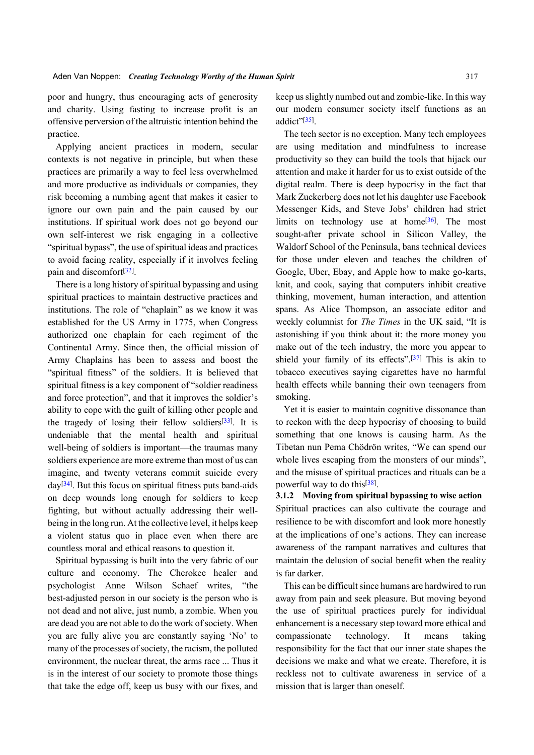poor and hungry, thus encouraging acts of generosity and charity. Using fasting to increase profit is an offensive perversion of the altruistic intention behind the practice.

Applying ancient practices in modern, secular contexts is not negative in principle, but when these practices are primarily a way to feel less overwhelmed and more productive as individuals or companies, they risk becoming a numbing agent that makes it easier to ignore our own pain and the pain caused by our institutions. If spiritual work does not go beyond our own self-interest we risk engaging in a collective "spiritual bypass", the use of spiritual ideas and practices to avoid facing reality, especially if it involves feeling pain and discomfort<sup>[[32\]](#page-13-22)</sup>.

There is a long history of spiritual bypassing and using spiritual practices to maintain destructive practices and institutions. The role of "chaplain" as we know it was established for the US Army in 1775, when Congress authorized one chaplain for each regiment of the Continental Army. Since then, the official mission of Army Chaplains has been to assess and boost the "spiritual fitness" of the soldiers. It is believed that spiritual fitness is a key component of "soldier readiness and force protection", and that it improves the soldier's ability to cope with the guilt of killing other p[eop](#page-13-23)le and the tragedy of losing their fellow soldiers<sup>[[33\]](#page-13-23)</sup>. It is undeniable that the mental health and spiritual well-being of soldiers is important—the traumas many soldiers experience are more extreme than most of us can ima[gin](#page-13-24)e, and twenty veterans commit suicide every day<sup>[[34](#page-13-24)]</sup>. But this focus on spiritual fitness puts band-aids on deep wounds long enough for soldiers to keep fighting, but without actually addressing their wellbeing in the long run. At the collective level, it helps keep a violent status quo in place even when there are countless moral and ethical reasons to question it.

Spiritual bypassing is built into the very fabric of our culture and economy. The Cherokee healer and psychologist Anne Wilson Schaef writes, "the best-adjusted person in our society is the person who is not dead and not alive, just numb, a zombie. When you are dead you are not able to do the work of society. When you are fully alive you are constantly saying 'No' to many of the processes of society, the racism, the polluted environment, the nuclear threat, the arms race ... Thus it is in the interest of our society to promote those things that take the edge off, keep us busy with our fixes, and keep us slightly numbed out and zombie-like. In this way our modern consumer society itself functions as an addict"<sup>[\[35\]](#page-13-25)</sup>.

The tech sector is no exception. Many tech employees are using meditation and mindfulness to increase productivity so they can build the tools that hijack our attention and make it harder for us to exist outside of the digital realm. There is deep hypocrisy in the fact that Mark Zuckerberg does not let his daughter use Facebook Messenger Kids, and Steve Jobs' children had strict limits on technology use at home<sup>[[36\]](#page-13-26)</sup>. The most sought-after private school in Silicon Valley, the Waldorf School of the Peninsula, bans technical devices for those under eleven and teaches the children of Google, Uber, Ebay, and Apple how to make go-karts, knit, and cook, saying that computers inhibit creative thinking, movement, human interaction, and attention spans. As Alice Thompson, an associate editor and weekly columnist for *The Times* in the UK said, "It is astonishing if you think about it: the more money you make out of the tech industry, the more you appear to shield your family of its effects".<sup>[\[37\]](#page-13-27)</sup> This is akin to tobacco executives saying cigarettes have no harmful health effects while banning their own teenagers from smoking.

Yet it is easier to maintain cognitive dissonance than to reckon with the deep hypocrisy of choosing to build something that one knows is causing harm. As the Tibetan nun Pema Chödrön writes, "We can spend our whole lives escaping from the monsters of our minds", and the misuse of spirit[ual](#page-13-28) practices and rituals can be a powerful way to do this<sup>[[38](#page-13-28)]</sup>.

**3.1.2 Moving from spiritual bypassing to wise action** Spiritual practices can also cultivate the courage and resilience to be with discomfort and look more honestly at the implications of one's actions. They can increase awareness of the rampant narratives and cultures that maintain the delusion of social benefit when the reality is far darker.

This can be difficult since humans are hardwired to run away from pain and seek pleasure. But moving beyond the use of spiritual practices purely for individual enhancement is a necessary step toward more ethical and compassionate technology. It means taking responsibility for the fact that our inner state shapes the decisions we make and what we create. Therefore, it is reckless not to cultivate awareness in service of a mission that is larger than oneself.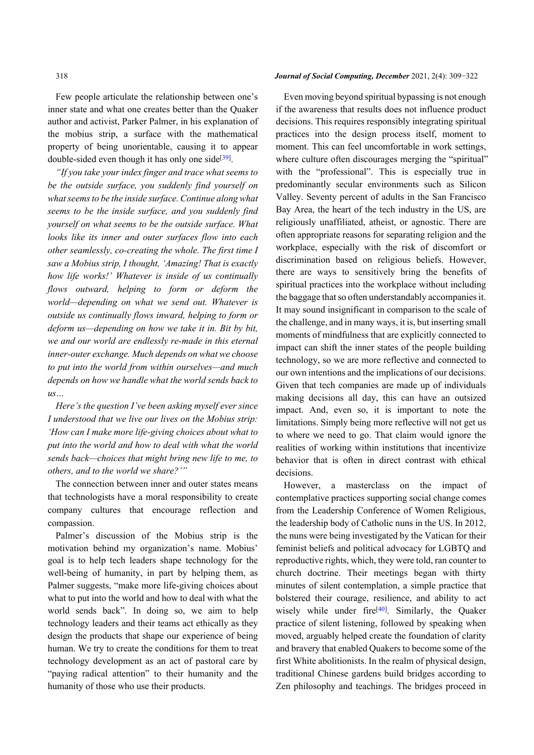Few people articulate the relationship between one's inner state and what one creates better than the Quaker author and activist, Parker Palmer, in his explanation of the mobius strip, a surface with the mathematical property of being unorientable, causing it to appear double-sided even though it has only one side<sup>[[39](#page-13-29)]</sup>.

*"If you take your index finger and trace what seems to be the outside surface, you suddenly find yourself on what seems to be the inside surface. Continue along what seems to be the inside surface, and you suddenly find yourself on what seems to be the outside surface. What looks like its inner and outer surfaces flow into each other seamlessly, co-creating the whole. The first time I saw a Mobius strip, I thought, 'Amazing! That is exactly how life works!' Whatever is inside of us continually flows outward, helping to form or deform the world—depending on what we send out. Whatever is outside us continually flows inward, helping to form or deform us—depending on how we take it in. Bit by bit, we and our world are endlessly re-made in this eternal inner-outer exchange. Much depends on what we choose to put into the world from within ourselves—and much depends on how we handle what the world sends back to us…*

*Here's the question I've been asking myself ever since I understood that we live our lives on the Mobius strip: 'How can I make more life-giving choices about what to put into the world and how to deal with what the world sends back—choices that might bring new life to me, to others, and to the world we share?'"*

The connection between inner and outer states means that technologists have a moral responsibility to create company cultures that encourage reflection and compassion.

Palmer's discussion of the Mobius strip is the motivation behind my organization's name. Mobius' goal is to help tech leaders shape technology for the well-being of humanity, in part by helping them, as Palmer suggests, "make more life-giving choices about what to put into the world and how to deal with what the world sends back". In doing so, we aim to help technology leaders and their teams act ethically as they design the products that shape our experience of being human. We try to create the conditions for them to treat technology development as an act of pastoral care by "paying radical attention" to their humanity and the humanity of those who use their products.

## 318 *Journal of Social Computing, December* 2021, 2(4): 309−322

Even moving beyond spiritual bypassing is not enough if the awareness that results does not influence product decisions. This requires responsibly integrating spiritual practices into the design process itself, moment to moment. This can feel uncomfortable in work settings, where culture often discourages merging the "spiritual" with the "professional". This is especially true in predominantly secular environments such as Silicon Valley. Seventy percent of adults in the San Francisco Bay Area, the heart of the tech industry in the US, are religiously unaffiliated, atheist, or agnostic. There are often appropriate reasons for separating religion and the workplace, especially with the risk of discomfort or discrimination based on religious beliefs. However, there are ways to sensitively bring the benefits of spiritual practices into the workplace without including the baggage that so often understandably accompanies it. It may sound insignificant in comparison to the scale of the challenge, and in many ways, it is, but inserting small moments of mindfulness that are explicitly connected to impact can shift the inner states of the people building technology, so we are more reflective and connected to our own intentions and the implications of our decisions. Given that tech companies are made up of individuals making decisions all day, this can have an outsized impact. And, even so, it is important to note the limitations. Simply being more reflective will not get us to where we need to go. That claim would ignore the realities of working within institutions that incentivize behavior that is often in direct contrast with ethical decisions.

However, a masterclass on the impact of contemplative practices supporting social change comes from the Leadership Conference of Women Religious, the leadership body of Catholic nuns in the US. In 2012, the nuns were being investigated by the Vatican for their feminist beliefs and political advocacy for LGBTQ and reproductive rights, which, they were told, ran counter to church doctrine. Their meetings began with thirty minutes of silent contemplation, a simple practice that bolstered their courage,r[esi](#page-13-30)lience, and ability to act wisely while under fire<sup>[[40](#page-13-30)]</sup>. Similarly, the Quaker practice of silent listening, followed by speaking when moved, arguably helped create the foundation of clarity and bravery that enabled Quakers to become some of the first White abolitionists. In the realm of physical design, traditional Chinese gardens build bridges according to Zen philosophy and teachings. The bridges proceed in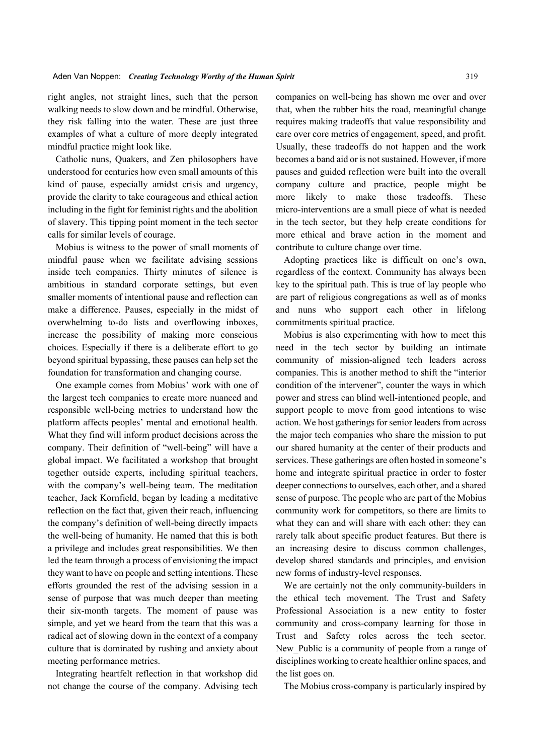right angles, not straight lines, such that the person walking needs to slow down and be mindful. Otherwise, they risk falling into the water. These are just three examples of what a culture of more deeply integrated mindful practice might look like.

Catholic nuns, Quakers, and Zen philosophers have understood for centuries how even small amounts of this kind of pause, especially amidst crisis and urgency, provide the clarity to take courageous and ethical action including in the fight for feminist rights and the abolition of slavery. This tipping point moment in the tech sector calls for similar levels of courage.

Mobius is witness to the power of small moments of mindful pause when we facilitate advising sessions inside tech companies. Thirty minutes of silence is ambitious in standard corporate settings, but even smaller moments of intentional pause and reflection can make a difference. Pauses, especially in the midst of overwhelming to-do lists and overflowing inboxes, increase the possibility of making more conscious choices. Especially if there is a deliberate effort to go beyond spiritual bypassing, these pauses can help set the foundation for transformation and changing course.

One example comes from Mobius' work with one of the largest tech companies to create more nuanced and responsible well-being metrics to understand how the platform affects peoples' mental and emotional health. What they find will inform product decisions across the company. Their definition of "well-being" will have a global impact. We facilitated a workshop that brought together outside experts, including spiritual teachers, with the company's well-being team. The meditation teacher, Jack Kornfield, began by leading a meditative reflection on the fact that, given their reach, influencing the company's definition of well-being directly impacts the well-being of humanity. He named that this is both a privilege and includes great responsibilities. We then led the team through a process of envisioning the impact they want to have on people and setting intentions. These efforts grounded the rest of the advising session in a sense of purpose that was much deeper than meeting their six-month targets. The moment of pause was simple, and yet we heard from the team that this was a radical act of slowing down in the context of a company culture that is dominated by rushing and anxiety about meeting performance metrics.

Integrating heartfelt reflection in that workshop did not change the course of the company. Advising tech companies on well-being has shown me over and over that, when the rubber hits the road, meaningful change requires making tradeoffs that value responsibility and care over core metrics of engagement, speed, and profit. Usually, these tradeoffs do not happen and the work becomes a band aid or is not sustained. However, if more pauses and guided reflection were built into the overall company culture and practice, people might be more likely to make those tradeoffs. These micro-interventions are a small piece of what is needed in the tech sector, but they help create conditions for more ethical and brave action in the moment and contribute to culture change over time.

Adopting practices like is difficult on one's own, regardless of the context. Community has always been key to the spiritual path. This is true of lay people who are part of religious congregations as well as of monks and nuns who support each other in lifelong commitments spiritual practice.

Mobius is also experimenting with how to meet this need in the tech sector by building an intimate community of mission-aligned tech leaders across companies. This is another method to shift the "interior condition of the intervener", counter the ways in which power and stress can blind well-intentioned people, and support people to move from good intentions to wise action. We host gatherings for senior leaders from across the major tech companies who share the mission to put our shared humanity at the center of their products and services. These gatherings are often hosted in someone's home and integrate spiritual practice in order to foster deeper connections to ourselves, each other, and a shared sense of purpose. The people who are part of the Mobius community work for competitors, so there are limits to what they can and will share with each other: they can rarely talk about specific product features. But there is an increasing desire to discuss common challenges, develop shared standards and principles, and envision new forms of industry-level responses.

We are certainly not the only community-builders in the ethical tech movement. The Trust and Safety Professional Association is a new entity to foster community and cross-company learning for those in Trust and Safety roles across the tech sector. New Public is a community of people from a range of disciplines working to create healthier online spaces, and the list goes on.

The Mobius cross-company is particularly inspired by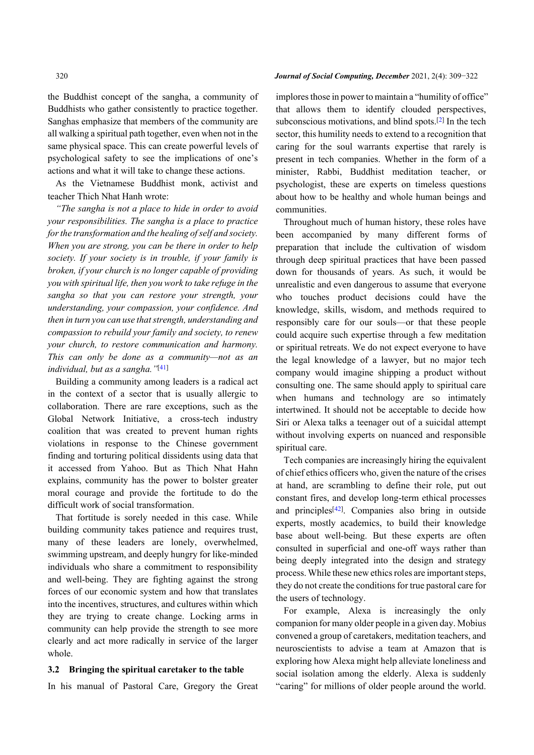the Buddhist concept of the sangha, a community of Buddhists who gather consistently to practice together. Sanghas emphasize that members of the community are all walking a spiritual path together, even when not in the same physical space. This can create powerful levels of psychological safety to see the implications of one's actions and what it will take to change these actions.

As the Vietnamese Buddhist monk, activist and teacher Thich Nhat Hanh wrote:

*"The sangha is not a place to hide in order to avoid your responsibilities. The sangha is a place to practice for the transformation and the healing of self and society. When you are strong, you can be there in order to help society. If your society is in trouble, if your family is broken, if your church is no longer capable of providing you with spiritual life, then you work to take refuge in the sangha so that you can restore your strength, your understanding, your compassion, your confidence. And then in turn you can use that strength, understanding and compassion to rebuild your family and society, to renew your church, to restore communication and harmony. This can only be done as a community—not as an individual, but as a sangha."* [\[41](#page-13-31)]

Building a community among leaders is a radical act in the context of a sector that is usually allergic to collaboration. There are rare exceptions, such as the Global Network Initiative, a cross-tech industry coalition that was created to prevent human rights violations in response to the Chinese government finding and torturing political dissidents using data that it accessed from Yahoo. But as Thich Nhat Hahn explains, community has the power to bolster greater moral courage and provide the fortitude to do the difficult work of social transformation.

That fortitude is sorely needed in this case. While building community takes patience and requires trust, many of these leaders are lonely, overwhelmed, swimming upstream, and deeply hungry for like-minded individuals who share a commitment to responsibility and well-being. They are fighting against the strong forces of our economic system and how that translates into the incentives, structures, and cultures within which they are trying to create change. Locking arms in community can help provide the strength to see more clearly and act more radically in service of the larger whole.

#### **3.2 Bringing the spiritual caretaker to the table**

In his manual of Pastoral Care, Gregory the Great

320 *Journal of Social Computing, December* 2021, 2(4): 309−322

implores those in power to maintain a "humility of office" that allows them to identify clouded perspectives, subconscious motivations, and blind spots.[\[2\]](#page-12-1) In the tech sector, this humility needs to extend to a recognition that caring for the soul warrants expertise that rarely is present in tech companies. Whether in the form of a minister, Rabbi, Buddhist meditation teacher, or psychologist, these are experts on timeless questions about how to be healthy and whole human beings and communities.

Throughout much of human history, these roles have been accompanied by many different forms of preparation that include the cultivation of wisdom through deep spiritual practices that have been passed down for thousands of years. As such, it would be unrealistic and even dangerous to assume that everyone who touches product decisions could have the knowledge, skills, wisdom, and methods required to responsibly care for our souls—or that these people could acquire such expertise through a few meditation or spiritual retreats. We do not expect everyone to have the legal knowledge of a lawyer, but no major tech company would imagine shipping a product without consulting one. The same should apply to spiritual care when humans and technology are so intimately intertwined. It should not be acceptable to decide how Siri or Alexa talks a teenager out of a suicidal attempt without involving experts on nuanced and responsible spiritual care.

Tech companies are increasingly hiring the equivalent of chief ethics officers who, given the nature of the crises at hand, are scrambling to define their role, put out constant fires, [an](#page-13-32)d develop long-term ethical processes and principles<sup>[[42](#page-13-32)]</sup>. Companies also bring in outside experts, mostly academics, to build their knowledge base about well-being. But these experts are often consulted in superficial and one-off ways rather than being deeply integrated into the design and strategy process. While these new ethics roles are important steps, they do not create the conditions for true pastoral care for the users of technology.

For example, Alexa is increasingly the only companion for many older people in a given day. Mobius convened a group of caretakers, meditation teachers, and neuroscientists to advise a team at Amazon that is exploring how Alexa might help alleviate loneliness and social isolation among the elderly. Alexa is suddenly "caring" for millions of older people around the world.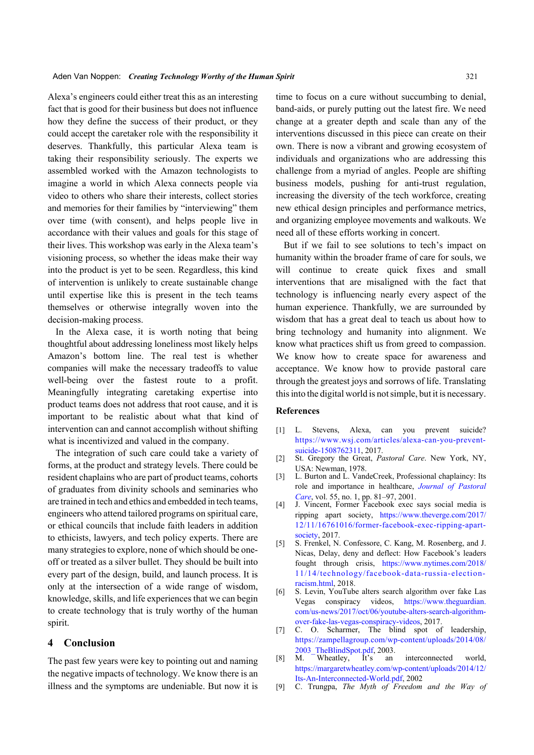Alexa's engineers could either treat this as an interesting fact that is good for their business but does not influence how they define the success of their product, or they could accept the caretaker role with the responsibility it deserves. Thankfully, this particular Alexa team is taking their responsibility seriously. The experts we assembled worked with the Amazon technologists to imagine a world in which Alexa connects people via video to others who share their interests, collect stories and memories for their families by "interviewing" them over time (with consent), and helps people live in accordance with their values and goals for this stage of their lives. This workshop was early in the Alexa team's visioning process, so whether the ideas make their way into the product is yet to be seen. Regardless, this kind of intervention is unlikely to create sustainable change until expertise like this is present in the tech teams themselves or otherwise integrally woven into the decision-making process.

In the Alexa case, it is worth noting that being thoughtful about addressing loneliness most likely helps Amazon's bottom line. The real test is whether companies will make the necessary tradeoffs to value well-being over the fastest route to a profit. Meaningfully integrating caretaking expertise into product teams does not address that root cause, and it is important to be realistic about what that kind of intervention can and cannot accomplish without shifting what is incentivized and valued in the company.

The integration of such care could take a variety of forms, at the product and strategy levels. There could be resident chaplains who are part of product teams, cohorts of graduates from divinity schools and seminaries who are trained in tech and ethics and embedded in tech teams, engineers who attend tailored programs on spiritual care, or ethical councils that include faith leaders in addition to ethicists, lawyers, and tech policy experts. There are many strategies to explore, none of which should be oneoff or treated as a silver bullet. They should be built into every part of the design, build, and launch process. It is only at the intersection of a wide range of wisdom, knowledge, skills, and life experiences that we can begin to create technology that is truly worthy of the human spirit.

# **4 Conclusion**

The past few years were key to pointing out and naming the negative impacts of technology. We know there is an illness and the symptoms are undeniable. But now it is time to focus on a cure without succumbing to denial, band-aids, or purely putting out the latest fire. We need change at a greater depth and scale than any of the interventions discussed in this piece can create on their own. There is now a vibrant and growing ecosystem of individuals and organizations who are addressing this challenge from a myriad of angles. People are shifting business models, pushing for anti-trust regulation, increasing the diversity of the tech workforce, creating new ethical design principles and performance metrics, and organizing employee movements and walkouts. We need all of these efforts working in concert.

But if we fail to see solutions to tech's impact on humanity within the broader frame of care for souls, we will continue to create quick fixes and small interventions that are misaligned with the fact that technology is influencing nearly every aspect of the human experience. Thankfully, we are surrounded by wisdom that has a great deal to teach us about how to bring technology and humanity into alignment. We know what practices shift us from greed to compassion. We know how to create space for awareness and acceptance. We know how to provide pastoral care through the greatest joys and sorrows of life. Translating this into the digital world is not simple, but it is necessary.

## **References**

- <span id="page-12-0"></span>L. Stevens, Alexa, can you prevent suicide? [https://www.wsj.com/articles/alexa-can-you-prevent](https://www.wsj.com/articles/alexa-can-you-prevent-suicide-1508762311)[suicide-1508762311](https://www.wsj.com/articles/alexa-can-you-prevent-suicide-1508762311), 2017.  $\lceil 1 \rceil$
- <span id="page-12-1"></span>St. Gregory the Great, *Pastoral Care*. New York, NY, USA: Newman, 1978. [2]
- <span id="page-12-2"></span>[3] L. Burton and L. VandeCreek, Professional chaplaincy: Its role and importance in healthcare, *[Journal of Pastora](http://dx.doi.org/10.1177/002234090105500109)l [Care](http://dx.doi.org/10.1177/002234090105500109)*, vol. 55, no. 1, pp. 81–97, 2001.
- <span id="page-12-3"></span>J. Vincent, Former Facebook exec says social media is [4] ripping apart society, [https://www.theverge.com/2017/](https://www.theverge.com/2017/12/11/16761016/former-facebook-exec-ripping-apart-society) [12/11/16761016/former-facebook-exec-ripping-apart](https://www.theverge.com/2017/12/11/16761016/former-facebook-exec-ripping-apart-society)[society](https://www.theverge.com/2017/12/11/16761016/former-facebook-exec-ripping-apart-society), 2017.
- <span id="page-12-4"></span>S. Frenkel, N. Confessore, C. Kang, M. Rosenberg, and J. Nicas, Delay, deny and deflect: How Facebook's leaders fought through crisis, [https://www.nytimes.com/2018/](https://www.nytimes.com/2018/11/14/technology/facebook-data-russia-election-racism.html) [11/14/technology/facebook-data-russia-election](https://www.nytimes.com/2018/11/14/technology/facebook-data-russia-election-racism.html)[racism.html](https://www.nytimes.com/2018/11/14/technology/facebook-data-russia-election-racism.html), 2018. [5]
- <span id="page-12-5"></span>S. Levin, YouTube alters search algorithm over fake Las Vegas conspiracy videos, [https://www.theguardian.](https://www.theguardian.com/us-news/2017/oct/06/youtube-alters-search-algorithm-over-fake-las-vegas-conspiracy-videos) [com/us-news/2017/oct/06/youtube-alters-search-algorithm](https://www.theguardian.com/us-news/2017/oct/06/youtube-alters-search-algorithm-over-fake-las-vegas-conspiracy-videos)[over-fake-las-vegas-conspiracy-videos](https://www.theguardian.com/us-news/2017/oct/06/youtube-alters-search-algorithm-over-fake-las-vegas-conspiracy-videos), 2017. [6]
- <span id="page-12-6"></span>[7] C. O. Scharmer, The blind spot of leadership, [https://zampellagroup.com/wp-content/uploads/2014/08/](https://zampellagroup.com/wp-content/uploads/2014/08/2003_TheBlindSpot.pdf) [2003\\_TheBlindSpot.pdf](https://zampellagroup.com/wp-content/uploads/2014/08/2003_TheBlindSpot.pdf), 2003.
- <span id="page-12-7"></span>M. Wheatley, It's an interconnected world, [https://margaretwheatley.com/wp-content/uploads/2014/12/](https://margaretwheatley.com/wp-content/uploads/2014/12/Its-An-Interconnected-World.pdf) [Its-An-Interconnected-World.pdf,](https://margaretwheatley.com/wp-content/uploads/2014/12/Its-An-Interconnected-World.pdf) 2002 [8]
- <span id="page-12-8"></span>[9] C. Trungpa, *The Myth of Freedom and the Way of*